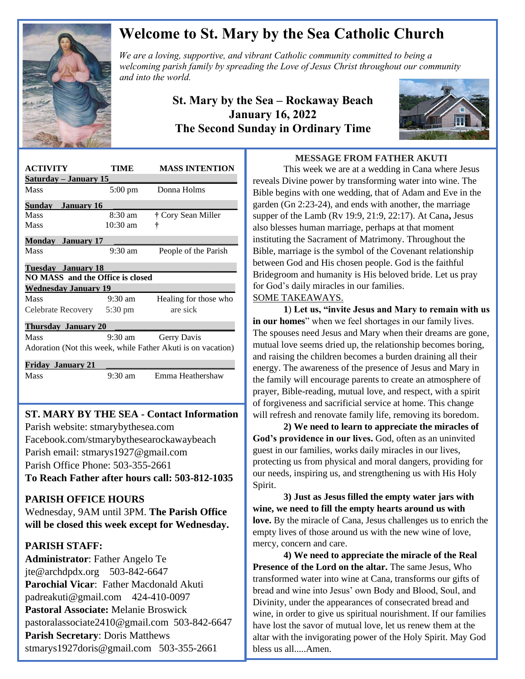

# **Welcome to St. Mary by the Sea Catholic Church**

*We are a loving, supportive, and vibrant Catholic community committed to being a We are a loving, supportive, and vibrant Catholic community committed to being a*  $\mathbb{Z}$ *welcoming parish family by spreading the Love of Jesus Christ throughout our community and into the world.*

> **St. Mary by the Sea – Rockaway Beach January 16, 2022 The Second Sunday in Ordinary Time**



| <b>ACTIVITY</b>                                              | TIME              | <b>MASS INTENTION</b> |
|--------------------------------------------------------------|-------------------|-----------------------|
| Saturday – January 15                                        |                   |                       |
| Mass                                                         | $5:00 \text{ pm}$ | Donna Holms           |
| <b>January</b> 16<br>Sundav                                  |                   |                       |
| Mass                                                         | 8:30 am           | † Cory Sean Miller    |
| Mass                                                         | $10:30$ am        | ÷                     |
| Monday January 17                                            |                   |                       |
| Mass                                                         | $9:30$ am         | People of the Parish  |
| Tuesday January 18                                           |                   |                       |
| NO MASS and the Office is closed                             |                   |                       |
| <b>Wednesday January 19</b>                                  |                   |                       |
| Mass                                                         | $9:30 \text{ am}$ | Healing for those who |
| Celebrate Recovery 5:30 pm                                   |                   | are sick              |
| <b>Thursday January 20</b>                                   |                   |                       |
| <b>Mass</b>                                                  | 9:30 am           | Gerry Davis           |
| Adoration (Not this week, while Father Akuti is on vacation) |                   |                       |
|                                                              |                   |                       |
| Friday January 21                                            |                   |                       |

## **ST. MARY BY THE SEA - Contact Information**

 Facebook.com/stmarybythesearockawaybeach Parish website: stmarybythesea.com Parish email: stmarys1927@gmail.com Parish Office Phone: 503-355-2661

**To Reach Father after hours call: 503-812-1035**

### **PARISH OFFICE HOURS**

Wednesday, 9AM until 3PM. **The Parish Office will be closed this week except for Wednesday.** 

### **PARISH STAFF:**

 

> **Administrator**: Father Angelo Te jte@archdpdx.org 503-842-6647 **Parochial Vicar**: Father Macdonald Akuti padreakuti@gmail.com 424-410-0097 **Pastoral Associate:** Melanie Broswick pastoralassociate2410@gmail.com 503-842-6647 **Parish Secretary**: Doris Matthews stmarys1927doris@gmail.com 503-355-2661

#### **MESSAGE FROM FATHER AKUTI**

This week we are at a wedding in Cana where Jesus reveals Divine power by transforming water into wine. The Bible begins with one wedding, that of Adam and Eve in the garden (Gn 2:23-24), and ends with another, the marriage supper of the Lamb (Rv 19:9, 21:9, 22:17). At Cana**,** Jesus also blesses human marriage, perhaps at that moment instituting the Sacrament of Matrimony. Throughout the Bible, marriage is the symbol of the Covenant relationship between God and His chosen people. God is the faithful Bridegroom and humanity is His beloved bride. Let us pray for God's daily miracles in our families.

### SOME TAKEAWAYS.

**1**) **Let us, "invite Jesus and Mary to remain with us in our homes**" when we feel shortages in our family lives. The spouses need Jesus and Mary when their dreams are gone, mutual love seems dried up, the relationship becomes boring, and raising the children becomes a burden draining all their energy. The awareness of the presence of Jesus and Mary in the family will encourage parents to create an atmosphere of prayer, Bible-reading, mutual love, and respect, with a spirit of forgiveness and sacrificial service at home. This change will refresh and renovate family life, removing its boredom.

**2) We need to learn to appreciate the miracles of God's providence in our lives.** God, often as an uninvited guest in our families, works daily miracles in our lives, protecting us from physical and moral dangers, providing for our needs, inspiring us, and strengthening us with His Holy Spirit.

**3) Just as Jesus filled the empty water jars with wine, we need to fill the empty hearts around us with love.** By the miracle of Cana, Jesus challenges us to enrich the empty lives of those around us with the new wine of love, mercy, concern and care.

**4) We need to appreciate the miracle of the Real Presence of the Lord on the altar.** The same Jesus, Who transformed water into wine at Cana, transforms our gifts of bread and wine into Jesus' own Body and Blood, Soul, and Divinity, under the appearances of consecrated bread and wine, in order to give us spiritual nourishment. If our families have lost the savor of mutual love, let us renew them at the altar with the invigorating power of the Holy Spirit. May God bless us all.....Amen.